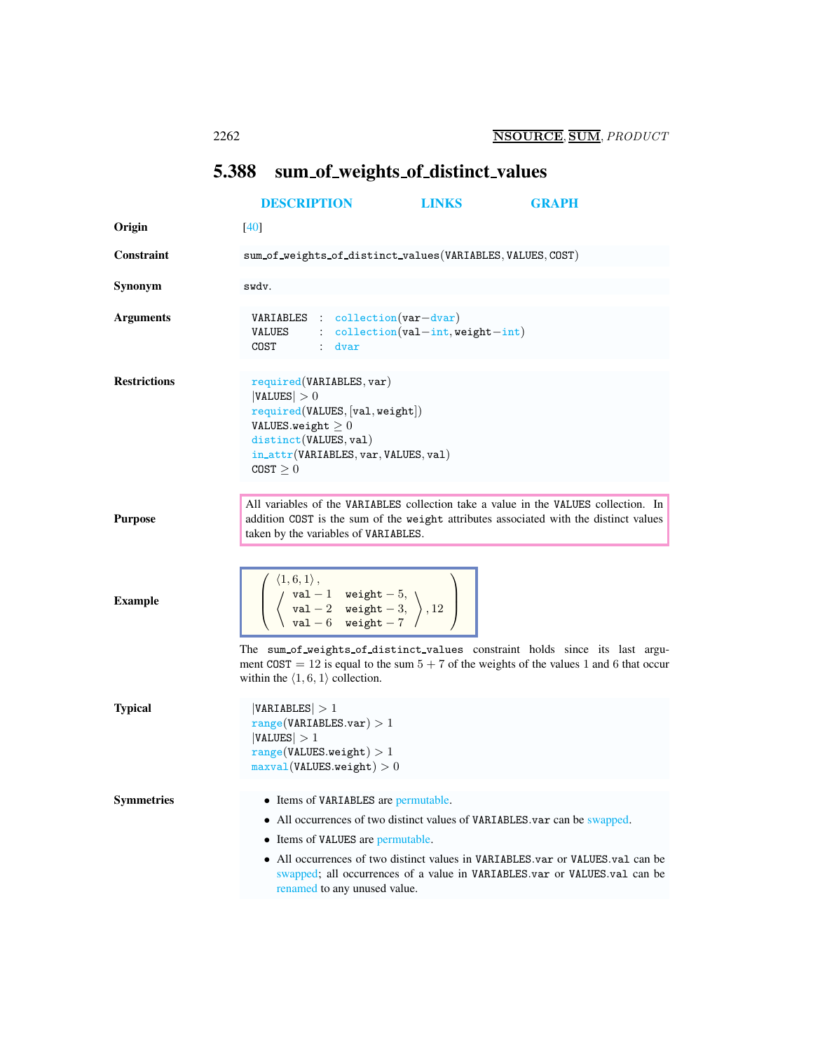## <span id="page-0-0"></span>5.388 sum\_of\_weights\_of\_distinct\_values

|                     | <b>DESCRIPTION</b>                                                                                                                                                                                   | <b>LINKS</b>                            | <b>GRAPH</b>                                                                                                                                                                                                                             |
|---------------------|------------------------------------------------------------------------------------------------------------------------------------------------------------------------------------------------------|-----------------------------------------|------------------------------------------------------------------------------------------------------------------------------------------------------------------------------------------------------------------------------------------|
| Origin              | $[40]$                                                                                                                                                                                               |                                         |                                                                                                                                                                                                                                          |
| <b>Constraint</b>   | sum_of_weights_of_distinct_values(VARIABLES,VALUES,COST)                                                                                                                                             |                                         |                                                                                                                                                                                                                                          |
| Synonym             | swdv.                                                                                                                                                                                                |                                         |                                                                                                                                                                                                                                          |
| <b>Arguments</b>    | $VARIABLES : collection(var-dvar)$<br>VALUES<br>$\mathcal{L}_{\mathcal{A}}$ .<br>COST<br>$:$ dvar                                                                                                    | $\text{collection}(val-int,weight-int)$ |                                                                                                                                                                                                                                          |
| <b>Restrictions</b> | required(VARIABLES, var)<br> VALUES  > 0<br>required(VALUES, [val, weight])<br>VALUES.weight $\geq 0$<br>distinct(VALUES, val)<br>in_attr(VARIABLES, var, VALUES, val)<br>$COST \geq 0$              |                                         |                                                                                                                                                                                                                                          |
| <b>Purpose</b>      | taken by the variables of VARIABLES.                                                                                                                                                                 |                                         | All variables of the VARIABLES collection take a value in the VALUES collection. In<br>addition COST is the sum of the weight attributes associated with the distinct values                                                             |
| <b>Example</b>      | $\begin{pmatrix} \langle 1, 6, 1 \rangle, \\ \langle & \text{val} - 1 & \text{weight} - 5, \\ \langle & \text{val} - 2 & \text{weight} - 3, \\ \text{val} - 6 & \text{weight} - 7 \end{pmatrix}, 12$ |                                         |                                                                                                                                                                                                                                          |
|                     | within the $\langle 1, 6, 1 \rangle$ collection.                                                                                                                                                     |                                         | The sum_of_weights_of_distinct_values constraint holds since its last argu-<br>ment COST = 12 is equal to the sum $5 + 7$ of the weights of the values 1 and 6 that occur                                                                |
| <b>Typical</b>      | VARIABLES  > 1<br>range(VARIABLES.var) > 1<br> VALUES  > 1<br>range(VALUES.weight) > 1<br>$maxval(VALUESweight) > 0$                                                                                 |                                         |                                                                                                                                                                                                                                          |
| <b>Symmetries</b>   | • Items of VARIABLES are permutable.<br>• Items of VALUES are permutable.<br>renamed to any unused value.                                                                                            |                                         | • All occurrences of two distinct values of VARIABLES.var can be swapped.<br>• All occurrences of two distinct values in VARIABLES var or VALUES val can be<br>swapped; all occurrences of a value in VARIABLES.var or VALUES.val can be |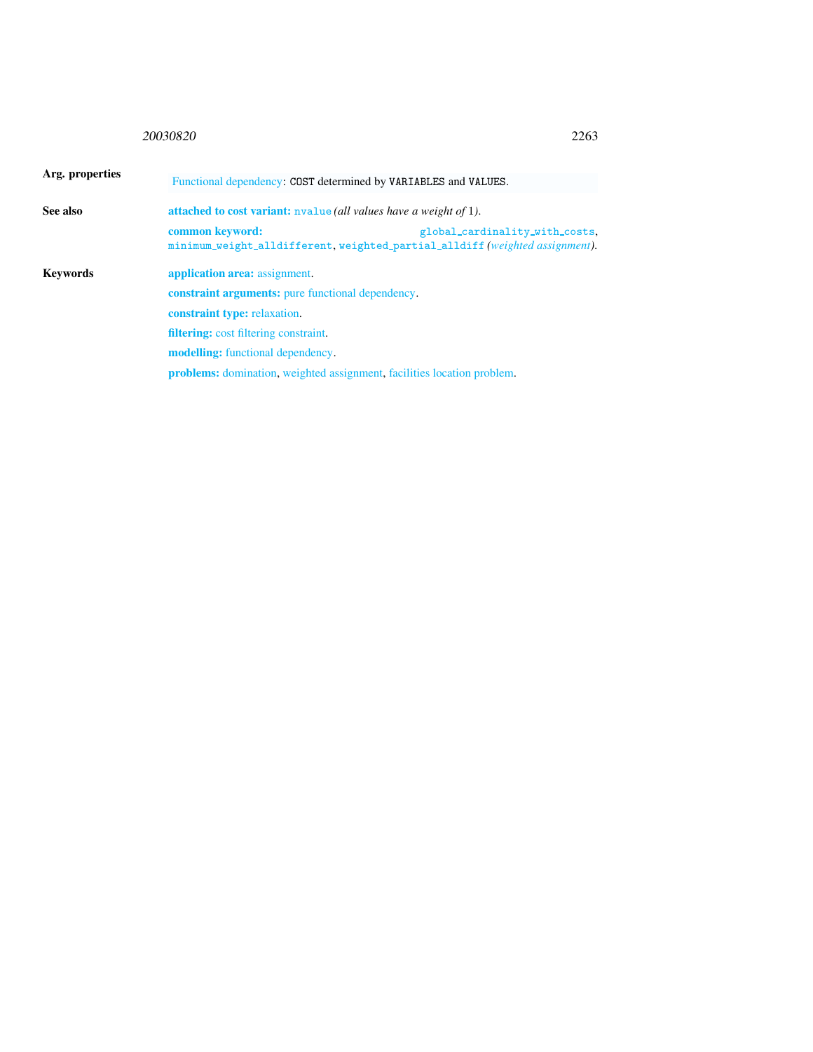## <sup>20030820</sup> 2263

<span id="page-1-0"></span>

| Arg. properties | Functional dependency: COST determined by VARIABLES and VALUES.<br>attached to cost variant: nvalue (all values have a weight of 1). |                                                                                                              |  |  |
|-----------------|--------------------------------------------------------------------------------------------------------------------------------------|--------------------------------------------------------------------------------------------------------------|--|--|
| See also        |                                                                                                                                      |                                                                                                              |  |  |
|                 | common keyword:                                                                                                                      | global_cardinality_with_costs,<br>minimum_weight_alldifferent.weighted_partial_alldiff(weighted assignment). |  |  |
| Kevwords        | application area: assignment.                                                                                                        |                                                                                                              |  |  |
|                 | <b>constraint arguments:</b> pure functional dependency.                                                                             |                                                                                                              |  |  |
|                 | <b>constraint type:</b> relaxation.                                                                                                  |                                                                                                              |  |  |
|                 | <b>filtering:</b> cost filtering constraint.                                                                                         |                                                                                                              |  |  |
|                 | <b>modelling:</b> functional dependency.                                                                                             |                                                                                                              |  |  |
|                 | <b>problems:</b> domination, weighted assignment, facilities location problem.                                                       |                                                                                                              |  |  |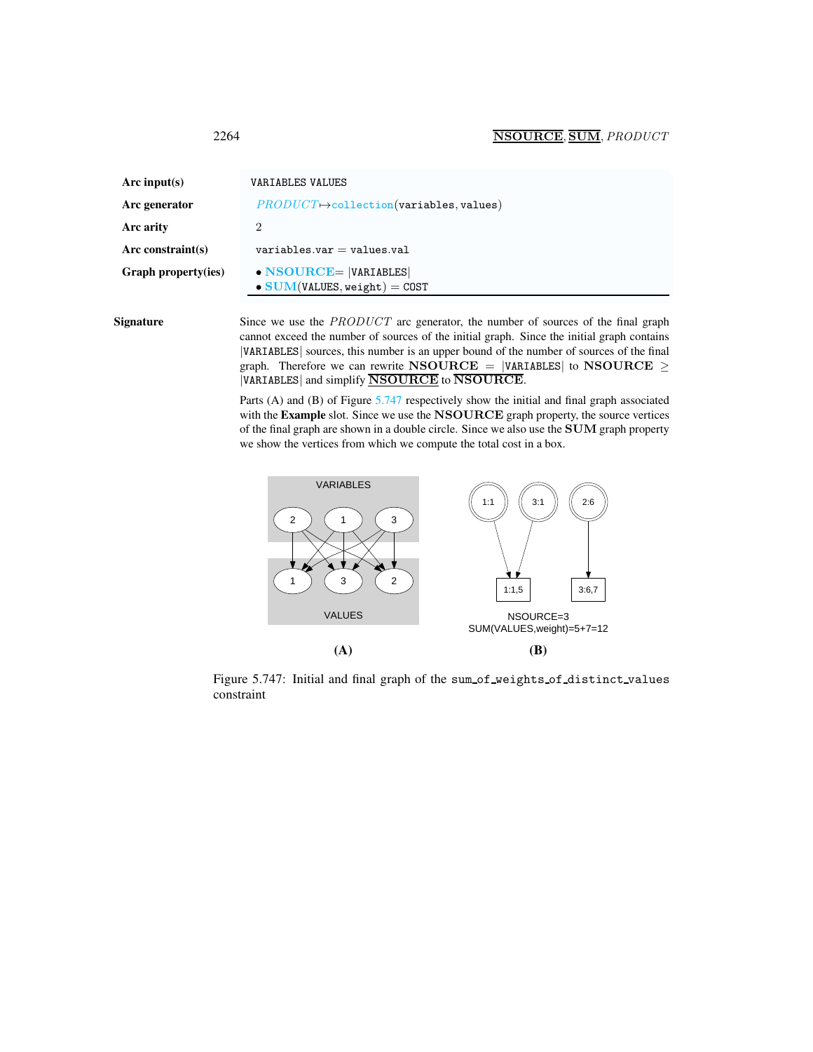<span id="page-2-0"></span>

| Arc input(s)        | VARIABLES VALUES                                                       |
|---------------------|------------------------------------------------------------------------|
| Arc generator       | $PRODUCT \rightarrow collection(variables, values)$                    |
| Arc arity           | 2                                                                      |
| Arc constraint(s)   | $variable s.var = values.val$                                          |
| Graph property(ies) | $\bullet$ NSOURCE=  VARIABLES <br>$\bullet$ SUM(VALUES, weight) = COST |

Signature Since we use the *PRODUCT* arc generator, the number of sources of the final graph cannot exceed the number of sources of the initial graph. Since the initial graph contains |VARIABLES| sources, this number is an upper bound of the number of sources of the final graph. Therefore we can rewrite NSOURCE = |VARIABLES| to NSOURCE  $\geq$ |VARIABLES| and simplify **NSOURCE** to **NSOURCE**.

> Parts (A) and (B) of Figure [5.747](#page-2-1) respectively show the initial and final graph associated with the Example slot. Since we use the NSOURCE graph property, the source vertices of the final graph are shown in a double circle. Since we also use the SUM graph property we show the vertices from which we compute the total cost in a box.



<span id="page-2-1"></span>Figure 5.747: Initial and final graph of the sum of weights of distinct values constraint